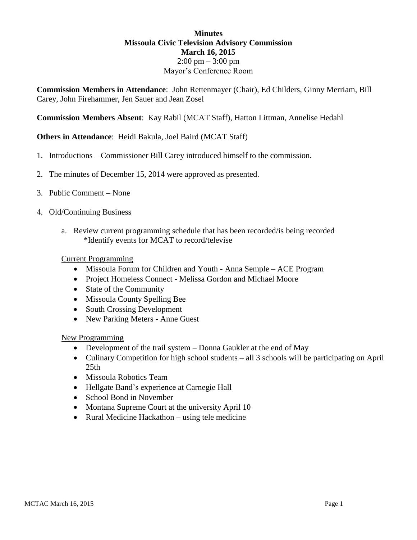## **Minutes Missoula Civic Television Advisory Commission March 16, 2015**  $2:00 \text{ pm} - 3:00 \text{ pm}$ Mayor's Conference Room

**Commission Members in Attendance**: John Rettenmayer (Chair), Ed Childers, Ginny Merriam, Bill Carey, John Firehammer, Jen Sauer and Jean Zosel

**Commission Members Absent**: Kay Rabil (MCAT Staff), Hatton Littman, Annelise Hedahl

**Others in Attendance**: Heidi Bakula, Joel Baird (MCAT Staff)

- 1. Introductions Commissioner Bill Carey introduced himself to the commission.
- 2. The minutes of December 15, 2014 were approved as presented.
- 3. Public Comment None
- 4. Old/Continuing Business
	- a. Review current programming schedule that has been recorded/is being recorded \*Identify events for MCAT to record/televise

## Current Programming

- Missoula Forum for Children and Youth Anna Semple ACE Program
- Project Homeless Connect Melissa Gordon and Michael Moore
- State of the Community
- Missoula County Spelling Bee
- South Crossing Development
- New Parking Meters Anne Guest

New Programming

- Development of the trail system Donna Gaukler at the end of May
- Culinary Competition for high school students all 3 schools will be participating on April 25th
- Missoula Robotics Team
- Hellgate Band's experience at Carnegie Hall
- School Bond in November
- Montana Supreme Court at the university April 10
- Rural Medicine Hackathon using tele medicine